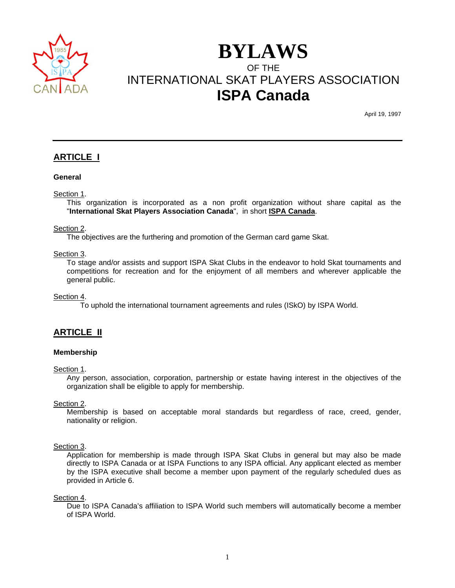

# **BYLAWS** OF THE INTERNATIONAL SKAT PLAYERS ASSOCIATION **ISPA Canada**

April 19, 1997

# **ARTICLE I**

#### **General**

#### Section 1.

 This organization is incorporated as a non profit organization without share capital as the "**International Skat Players Association Canada**", in short **ISPA Canada**.

#### Section 2.

The objectives are the furthering and promotion of the German card game Skat.

#### Section 3.

 To stage and/or assists and support ISPA Skat Clubs in the endeavor to hold Skat tournaments and competitions for recreation and for the enjoyment of all members and wherever applicable the general public.

Section 4.

To uphold the international tournament agreements and rules (ISkO) by ISPA World.

# **ARTICLE II**

#### **Membership**

Section 1.

 Any person, association, corporation, partnership or estate having interest in the objectives of the organization shall be eligible to apply for membership.

Section 2.

 Membership is based on acceptable moral standards but regardless of race, creed, gender, nationality or religion.

#### Section 3.

 Application for membership is made through ISPA Skat Clubs in general but may also be made directly to ISPA Canada or at ISPA Functions to any ISPA official. Any applicant elected as member by the ISPA executive shall become a member upon payment of the regularly scheduled dues as provided in Article 6.

Section 4.

 Due to ISPA Canada's affiliation to ISPA World such members will automatically become a member of ISPA World.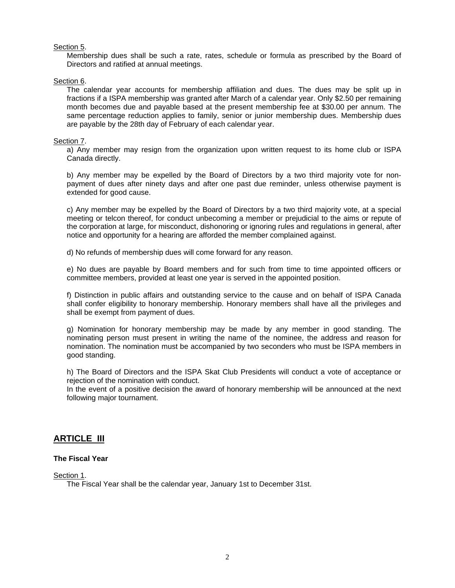### Section 5.

 Membership dues shall be such a rate, rates, schedule or formula as prescribed by the Board of Directors and ratified at annual meetings.

#### Section 6.

 The calendar year accounts for membership affiliation and dues. The dues may be split up in fractions if a ISPA membership was granted after March of a calendar year. Only \$2.50 per remaining month becomes due and payable based at the present membership fee at \$30.00 per annum. The same percentage reduction applies to family, senior or junior membership dues. Membership dues are payable by the 28th day of February of each calendar year.

#### Section 7.

 a) Any member may resign from the organization upon written request to its home club or ISPA Canada directly.

 b) Any member may be expelled by the Board of Directors by a two third majority vote for nonpayment of dues after ninety days and after one past due reminder, unless otherwise payment is extended for good cause.

 c) Any member may be expelled by the Board of Directors by a two third majority vote, at a special meeting or telcon thereof, for conduct unbecoming a member or prejudicial to the aims or repute of the corporation at large, for misconduct, dishonoring or ignoring rules and regulations in general, after notice and opportunity for a hearing are afforded the member complained against.

d) No refunds of membership dues will come forward for any reason.

 e) No dues are payable by Board members and for such from time to time appointed officers or committee members, provided at least one year is served in the appointed position.

 f) Distinction in public affairs and outstanding service to the cause and on behalf of ISPA Canada shall confer eligibility to honorary membership. Honorary members shall have all the privileges and shall be exempt from payment of dues.

 g) Nomination for honorary membership may be made by any member in good standing. The nominating person must present in writing the name of the nominee, the address and reason for nomination. The nomination must be accompanied by two seconders who must be ISPA members in good standing.

 h) The Board of Directors and the ISPA Skat Club Presidents will conduct a vote of acceptance or rejection of the nomination with conduct.

 In the event of a positive decision the award of honorary membership will be announced at the next following major tournament.

# **ARTICLE III**

## **The Fiscal Year**

Section 1.

The Fiscal Year shall be the calendar year, January 1st to December 31st.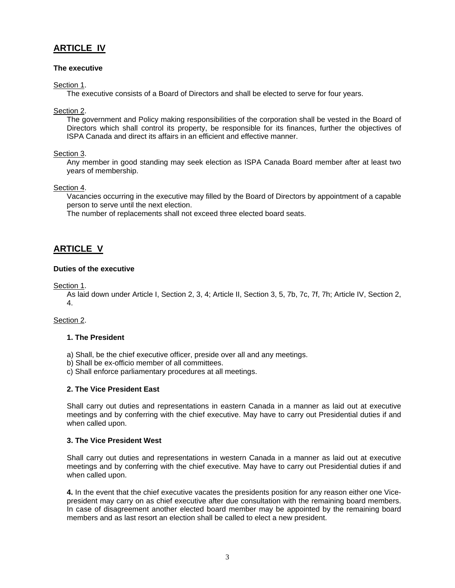# **ARTICLE IV**

# **The executive**

Section 1.

The executive consists of a Board of Directors and shall be elected to serve for four years.

### Section 2.

 The government and Policy making responsibilities of the corporation shall be vested in the Board of Directors which shall control its property, be responsible for its finances, further the objectives of ISPA Canada and direct its affairs in an efficient and effective manner.

### Section 3.

 Any member in good standing may seek election as ISPA Canada Board member after at least two years of membership.

#### Section 4.

 Vacancies occurring in the executive may filled by the Board of Directors by appointment of a capable person to serve until the next election.

The number of replacements shall not exceed three elected board seats.

# **ARTICLE V**

### **Duties of the executive**

Section 1.

 As laid down under Article I, Section 2, 3, 4; Article II, Section 3, 5, 7b, 7c, 7f, 7h; Article IV, Section 2, 4.

#### Section 2.

# **1. The President**

- a) Shall, be the chief executive officer, preside over all and any meetings.
- b) Shall be ex-officio member of all committees.
- c) Shall enforce parliamentary procedures at all meetings.

### **2. The Vice President East**

 Shall carry out duties and representations in eastern Canada in a manner as laid out at executive meetings and by conferring with the chief executive. May have to carry out Presidential duties if and when called upon.

### **3. The Vice President West**

 Shall carry out duties and representations in western Canada in a manner as laid out at executive meetings and by conferring with the chief executive. May have to carry out Presidential duties if and when called upon.

**4.** In the event that the chief executive vacates the presidents position for any reason either one Vicepresident may carry on as chief executive after due consultation with the remaining board members. In case of disagreement another elected board member may be appointed by the remaining board members and as last resort an election shall be called to elect a new president.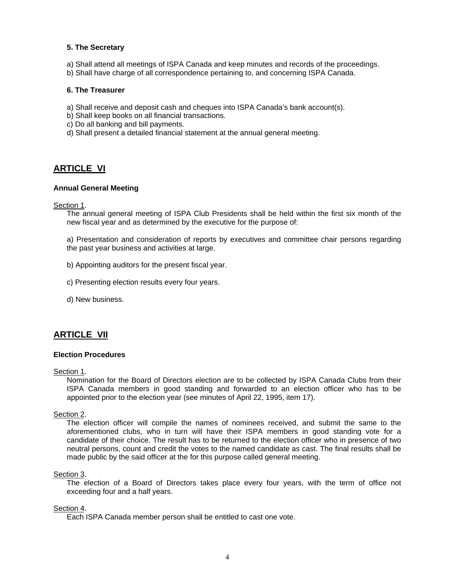#### **5. The Secretary**

- a) Shall attend all meetings of ISPA Canada and keep minutes and records of the proceedings.
- b) Shall have charge of all correspondence pertaining to, and concerning ISPA Canada.

#### **6. The Treasurer**

- a) Shall receive and deposit cash and cheques into ISPA Canada's bank account(s).
- b) Shall keep books on all financial transactions.
- c) Do all banking and bill payments.
- d) Shall present a detailed financial statement at the annual general meeting.

# **ARTICLE VI**

#### **Annual General Meeting**

Section 1.

 The annual general meeting of ISPA Club Presidents shall be held within the first six month of the new fiscal year and as determined by the executive for the purpose of:

 a) Presentation and consideration of reports by executives and committee chair persons regarding the past year business and activities at large.

- b) Appointing auditors for the present fiscal year.
- c) Presenting election results every four years.
- d) New business.

# **ARTICLE VII**

#### **Election Procedures**

Section 1.

 Nomination for the Board of Directors election are to be collected by ISPA Canada Clubs from their ISPA Canada members in good standing and forwarded to an election officer who has to be appointed prior to the election year (see minutes of April 22, 1995, item 17).

#### Section 2.

 The election officer will compile the names of nominees received, and submit the same to the aforementioned clubs, who in turn will have their ISPA members in good standing vote for a candidate of their choice. The result has to be returned to the election officer who in presence of two neutral persons, count and credit the votes to the named candidate as cast. The final results shall be made public by the said officer at the for this purpose called general meeting.

#### Section 3.

 The election of a Board of Directors takes place every four years, with the term of office not exceeding four and a half years.

#### Section 4.

Each ISPA Canada member person shall be entitled to cast one vote.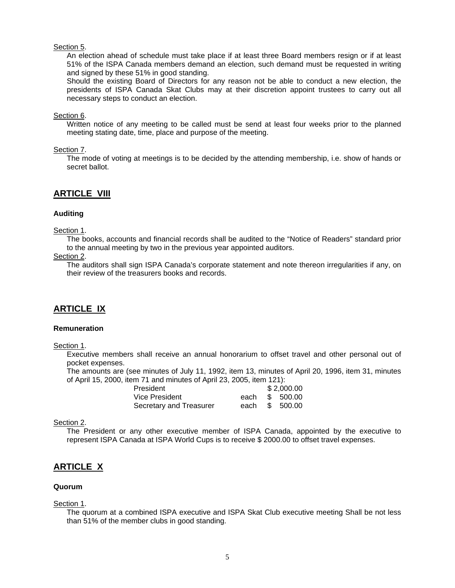#### Section 5.

 An election ahead of schedule must take place if at least three Board members resign or if at least 51% of the ISPA Canada members demand an election, such demand must be requested in writing and signed by these 51% in good standing.

 Should the existing Board of Directors for any reason not be able to conduct a new election, the presidents of ISPA Canada Skat Clubs may at their discretion appoint trustees to carry out all necessary steps to conduct an election.

#### Section 6.

 Written notice of any meeting to be called must be send at least four weeks prior to the planned meeting stating date, time, place and purpose of the meeting.

#### Section 7.

 The mode of voting at meetings is to be decided by the attending membership, i.e. show of hands or secret ballot.

# **ARTICLE VIII**

#### **Auditing**

#### Section 1.

 The books, accounts and financial records shall be audited to the "Notice of Readers" standard prior to the annual meeting by two in the previous year appointed auditors.

#### Section 2.

 The auditors shall sign ISPA Canada's corporate statement and note thereon irregularities if any, on their review of the treasurers books and records.

# **ARTICLE IX**

#### **Remuneration**

Section 1.

 Executive members shall receive an annual honorarium to offset travel and other personal out of pocket expenses.

 The amounts are (see minutes of July 11, 1992, item 13, minutes of April 20, 1996, item 31, minutes of April 15, 2000, item 71 and minutes of April 23, 2005, item 121):

| President               |  |  | \$2,000.00     |  |
|-------------------------|--|--|----------------|--|
| Vice President          |  |  | each \$ 500.00 |  |
| Secretary and Treasurer |  |  | each \$ 500.00 |  |

#### Section 2.

 The President or any other executive member of ISPA Canada, appointed by the executive to represent ISPA Canada at ISPA World Cups is to receive \$ 2000.00 to offset travel expenses.

# **ARTICLE X**

# **Quorum**

Section 1.

 The quorum at a combined ISPA executive and ISPA Skat Club executive meeting Shall be not less than 51% of the member clubs in good standing.